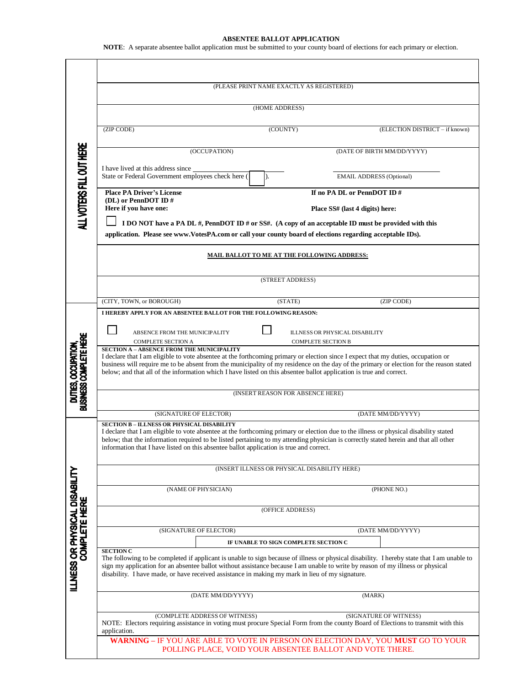## **ABSENTEE BALLOT APPLICATION**

**NOTE**: A separate absentee ballot application must be submitted to your county board of elections for each primary or election.

|                                                        | (PLEASE PRINT NAME EXACTLY AS REGISTERED)                                                                                                                                                                                         |                                                                                                                                  |                                  |                                 |                                |  |
|--------------------------------------------------------|-----------------------------------------------------------------------------------------------------------------------------------------------------------------------------------------------------------------------------------|----------------------------------------------------------------------------------------------------------------------------------|----------------------------------|---------------------------------|--------------------------------|--|
|                                                        |                                                                                                                                                                                                                                   |                                                                                                                                  |                                  |                                 |                                |  |
|                                                        | (HOME ADDRESS)                                                                                                                                                                                                                    |                                                                                                                                  |                                  |                                 |                                |  |
| ALL VOTERS FILL OUT HERE                               | (ZIP CODE)                                                                                                                                                                                                                        | (COUNTY)                                                                                                                         |                                  |                                 | (ELECTION DISTRICT - if known) |  |
|                                                        | (OCCUPATION)                                                                                                                                                                                                                      |                                                                                                                                  |                                  | (DATE OF BIRTH MM/DD/YYYY)      |                                |  |
|                                                        | I have lived at this address since<br>State or Federal Government employees check here (<br>D.                                                                                                                                    |                                                                                                                                  |                                  | <b>EMAIL ADDRESS (Optional)</b> |                                |  |
|                                                        | <b>Place PA Driver's License</b>                                                                                                                                                                                                  |                                                                                                                                  |                                  | If no PA DL or PennDOT ID#      |                                |  |
|                                                        | (DL) or PennDOT ID#<br>Here if you have one:                                                                                                                                                                                      |                                                                                                                                  | Place SS# (last 4 digits) here:  |                                 |                                |  |
|                                                        | I DO NOT have a PA DL #, PennDOT ID # or SS#. (A copy of an acceptable ID must be provided with this                                                                                                                              |                                                                                                                                  |                                  |                                 |                                |  |
|                                                        | application. Please see www.VotesPA.com or call your county board of elections regarding acceptable IDs).                                                                                                                         |                                                                                                                                  |                                  |                                 |                                |  |
|                                                        |                                                                                                                                                                                                                                   |                                                                                                                                  |                                  |                                 |                                |  |
|                                                        | MAIL BALLOT TO ME AT THE FOLLOWING ADDRESS:                                                                                                                                                                                       |                                                                                                                                  |                                  |                                 |                                |  |
|                                                        |                                                                                                                                                                                                                                   | (STREET ADDRESS)                                                                                                                 |                                  |                                 |                                |  |
|                                                        |                                                                                                                                                                                                                                   |                                                                                                                                  |                                  |                                 |                                |  |
|                                                        | (CITY, TOWN, or BOROUGH)                                                                                                                                                                                                          |                                                                                                                                  | (STATE)                          |                                 | (ZIP CODE)                     |  |
|                                                        | I HEREBY APPLY FOR AN ABSENTEE BALLOT FOR THE FOLLOWING REASON:                                                                                                                                                                   |                                                                                                                                  |                                  |                                 |                                |  |
|                                                        | ABSENCE FROM THE MUNICIPALITY<br>ILLNESS OR PHYSICAL DISABILITY                                                                                                                                                                   |                                                                                                                                  |                                  |                                 |                                |  |
|                                                        | <b>COMPLETE SECTION A</b><br><b>COMPLETE SECTION B</b>                                                                                                                                                                            |                                                                                                                                  |                                  |                                 |                                |  |
|                                                        | <b>SECTION A - ABSENCE FROM THE MUNICIPALITY</b><br>I declare that I am eligible to vote absentee at the forthcoming primary or election since I expect that my duties, occupation or                                             |                                                                                                                                  |                                  |                                 |                                |  |
|                                                        | business will require me to be absent from the municipality of my residence on the day of the primary or election for the reason stated                                                                                           |                                                                                                                                  |                                  |                                 |                                |  |
|                                                        | below; and that all of the information which I have listed on this absentee ballot application is true and correct.                                                                                                               |                                                                                                                                  |                                  |                                 |                                |  |
| DUTIES, OCCUPATION,<br>BUSINESS COMPLETE HERE          |                                                                                                                                                                                                                                   |                                                                                                                                  | (INSERT REASON FOR ABSENCE HERE) |                                 |                                |  |
|                                                        |                                                                                                                                                                                                                                   |                                                                                                                                  |                                  |                                 |                                |  |
|                                                        | (SIGNATURE OF ELECTOR)                                                                                                                                                                                                            |                                                                                                                                  |                                  | (DATE MM/DD/YYYY)               |                                |  |
|                                                        | <b>SECTION B - ILLNESS OR PHYSICAL DISABILITY</b><br>I declare that I am eligible to vote absentee at the forthcoming primary or election due to the illness or physical disability stated                                        |                                                                                                                                  |                                  |                                 |                                |  |
|                                                        | below; that the information required to be listed pertaining to my attending physician is correctly stated herein and that all other                                                                                              |                                                                                                                                  |                                  |                                 |                                |  |
|                                                        | information that I have listed on this absentee ballot application is true and correct.                                                                                                                                           |                                                                                                                                  |                                  |                                 |                                |  |
|                                                        | (INSERT ILLNESS OR PHYSICAL DISABILITY HERE)                                                                                                                                                                                      |                                                                                                                                  |                                  |                                 |                                |  |
|                                                        |                                                                                                                                                                                                                                   |                                                                                                                                  |                                  |                                 |                                |  |
|                                                        | (NAME OF PHYSICIAN)                                                                                                                                                                                                               |                                                                                                                                  |                                  | (PHONE NO.)                     |                                |  |
| ILLNESS OR PHYSICAL DISABILITY<br><b>COMPLETE HERE</b> | (OFFICE ADDRESS)                                                                                                                                                                                                                  |                                                                                                                                  |                                  |                                 |                                |  |
|                                                        |                                                                                                                                                                                                                                   |                                                                                                                                  |                                  |                                 |                                |  |
|                                                        | (SIGNATURE OF ELECTOR)                                                                                                                                                                                                            |                                                                                                                                  |                                  |                                 | (DATE MM/DD/YYYY)              |  |
|                                                        | <b>SECTION C</b>                                                                                                                                                                                                                  | IF UNABLE TO SIGN COMPLETE SECTION C                                                                                             |                                  |                                 |                                |  |
|                                                        | The following to be completed if applicant is unable to sign because of illness or physical disability. I hereby state that I am unable to                                                                                        |                                                                                                                                  |                                  |                                 |                                |  |
|                                                        | sign my application for an absentee ballot without assistance because I am unable to write by reason of my illness or physical<br>disability. I have made, or have received assistance in making my mark in lieu of my signature. |                                                                                                                                  |                                  |                                 |                                |  |
|                                                        |                                                                                                                                                                                                                                   |                                                                                                                                  |                                  |                                 |                                |  |
|                                                        | (DATE MM/DD/YYYY)                                                                                                                                                                                                                 |                                                                                                                                  | (MARK)                           |                                 |                                |  |
|                                                        | (COMPLETE ADDRESS OF WITNESS)<br>(SIGNATURE OF WITNESS)                                                                                                                                                                           |                                                                                                                                  |                                  |                                 |                                |  |
|                                                        | application.                                                                                                                                                                                                                      | NOTE: Electors requiring assistance in voting must procure Special Form from the county Board of Elections to transmit with this |                                  |                                 |                                |  |
|                                                        | WARNING - IF YOU ARE ABLE TO VOTE IN PERSON ON ELECTION DAY, YOU MUST GO TO YOUR<br>POLLING PLACE, VOID YOUR ABSENTEE BALLOT AND VOTE THERE.                                                                                      |                                                                                                                                  |                                  |                                 |                                |  |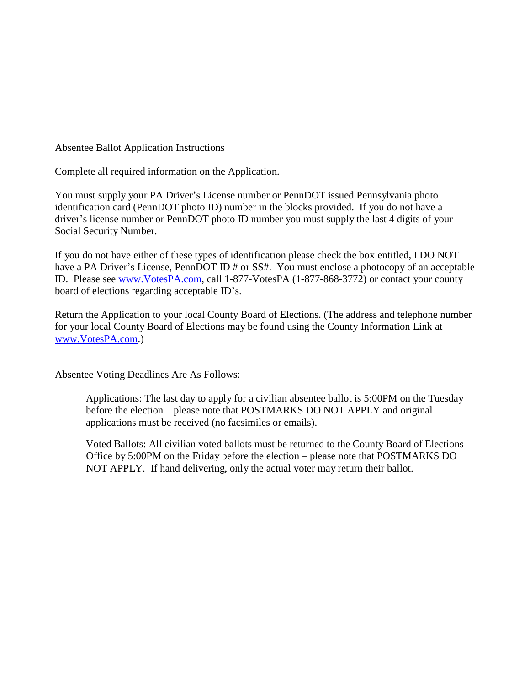Absentee Ballot Application Instructions

Complete all required information on the Application.

You must supply your PA Driver's License number or PennDOT issued Pennsylvania photo identification card (PennDOT photo ID) number in the blocks provided. If you do not have a driver's license number or PennDOT photo ID number you must supply the last 4 digits of your Social Security Number.

If you do not have either of these types of identification please check the box entitled, I DO NOT have a PA Driver's License, PennDOT ID # or SS#. You must enclose a photocopy of an acceptable ID. Please see [www.VotesPA.com,](http://www.votespa.com/) call 1-877-VotesPA (1-877-868-3772) or contact your county board of elections regarding acceptable ID's.

Return the Application to your local County Board of Elections. (The address and telephone number for your local County Board of Elections may be found using the County Information Link at [www.VotesPA.com.](http://www.votespa.com/))

Absentee Voting Deadlines Are As Follows:

Applications: The last day to apply for a civilian absentee ballot is 5:00PM on the Tuesday before the election – please note that POSTMARKS DO NOT APPLY and original applications must be received (no facsimiles or emails).

Voted Ballots: All civilian voted ballots must be returned to the County Board of Elections Office by 5:00PM on the Friday before the election – please note that POSTMARKS DO NOT APPLY. If hand delivering, only the actual voter may return their ballot.